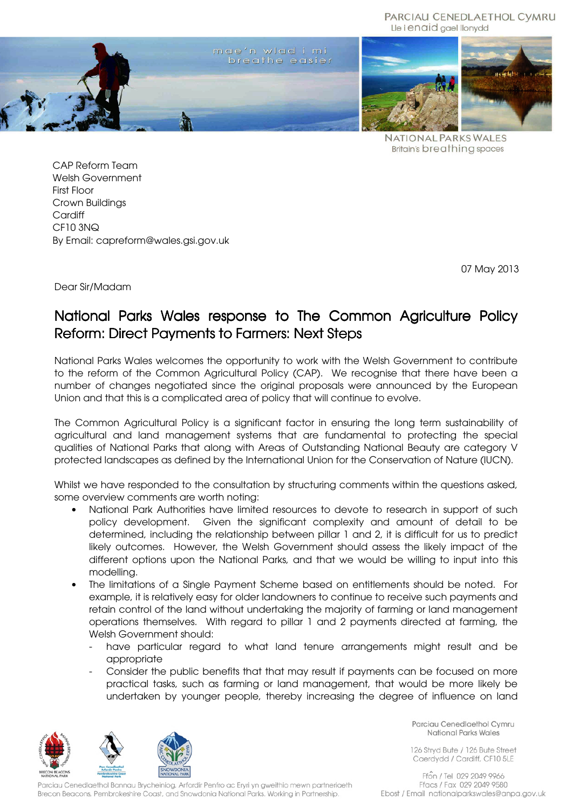PARCIAU CENEDLAETHOL CYMRU Lle i enaid gael llonydd



**NATIONAL PARKS WALES Britain's breathing spaces** 

CAP Reform Team Welsh Government First Floor Crown Buildings **Cardiff** CF10 3NQ By Email: capreform@wales.gsi.gov.uk

07 May 2013

Dear Sir/Madam

# National Parks Wales response to The Common Agriculture Policy Reform: Direct Payments to Farmers: Next Steps

National Parks Wales welcomes the opportunity to work with the Welsh Government to contribute to the reform of the Common Agricultural Policy (CAP). We recognise that there have been a number of changes negotiated since the original proposals were announced by the European Union and that this is a complicated area of policy that will continue to evolve.

The Common Agricultural Policy is a significant factor in ensuring the long term sustainability of agricultural and land management systems that are fundamental to protecting the special qualities of National Parks that along with Areas of Outstanding National Beauty are category V protected landscapes as defined by the International Union for the Conservation of Nature (IUCN).

Whilst we have responded to the consultation by structuring comments within the questions asked, some overview comments are worth noting:

- National Park Authorities have limited resources to devote to research in support of such policy development. Given the significant complexity and amount of detail to be determined, including the relationship between pillar 1 and 2, it is difficult for us to predict likely outcomes. However, the Welsh Government should assess the likely impact of the different options upon the National Parks, and that we would be willing to input into this modelling.
- The limitations of a Single Payment Scheme based on entitlements should be noted. For example, it is relatively easy for older landowners to continue to receive such payments and retain control of the land without undertaking the majority of farming or land management operations themselves. With regard to pillar 1 and 2 payments directed at farming, the Welsh Government should:
	- have particular regard to what land tenure arrangements might result and be appropriate
	- Consider the public benefits that that may result if payments can be focused on more practical tasks, such as farming or land management, that would be more likely be undertaken by younger people, thereby increasing the degree of influence on land



Parciau Cenedlaethol Bannau Brycheiniog, Arfordir Penfro ac Eryri yn gweithio mewn partneriaeth Brecon Beacons, Pembrokeshire Coast, and Snowdonia National Parks. Working in Partnership.

Parciau Cenedlaethol Cymru National Parks Wales

126 Stryd Bute / 126 Bute Street Caerdydd / Cardiff, CF10 5LE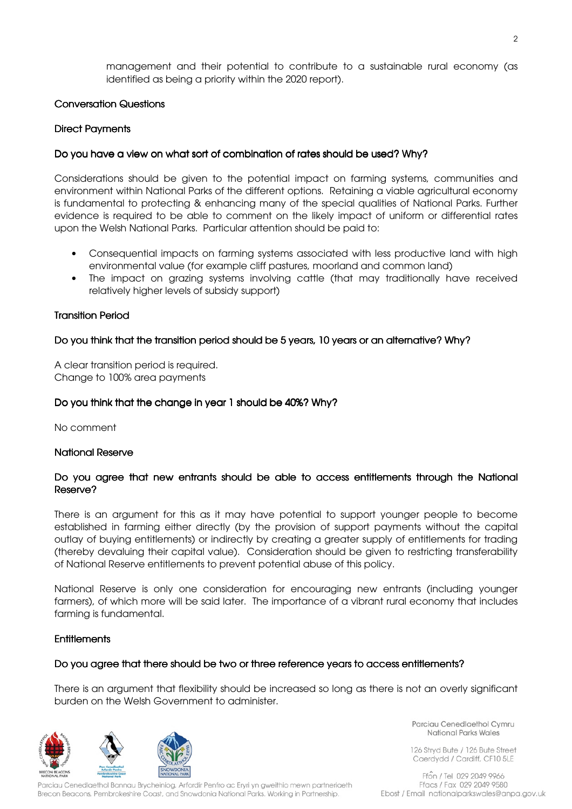management and their potential to contribute to a sustainable rural economy (as identified as being a priority within the 2020 report).

## Conversation Questions

## Direct Payments

# Do you have a view on what sort of combination of rates should be used? Why?

Considerations should be given to the potential impact on farming systems, communities and environment within National Parks of the different options. Retaining a viable agricultural economy is fundamental to protecting & enhancing many of the special qualities of National Parks. Further evidence is required to be able to comment on the likely impact of uniform or differential rates upon the Welsh National Parks. Particular attention should be paid to:

- Consequential impacts on farming systems associated with less productive land with high environmental value (for example cliff pastures, moorland and common land)
- The impact on grazing systems involving cattle (that may traditionally have received relatively higher levels of subsidy support)

#### Transition Period

## Do you think that the transition period should be 5 years, 10 years or an alternative? Why?

A clear transition period is required. Change to 100% area payments

#### Do you think that the change in year 1 should be 40%? Why?

No comment

#### **National Reserve**

## Do you agree that new entrants should be able to access entitlements through the National Reserve?

There is an argument for this as it may have potential to support younger people to become established in farming either directly (by the provision of support payments without the capital outlay of buying entitlements) or indirectly by creating a greater supply of entitlements for trading (thereby devaluing their capital value). Consideration should be given to restricting transferability of National Reserve entitlements to prevent potential abuse of this policy.

National Reserve is only one consideration for encouraging new entrants (including younger farmers), of which more will be said later. The importance of a vibrant rural economy that includes farming is fundamental.

#### **Entitlements**

#### Do you agree that there should be two or three reference years to access entitlements?

There is an argument that flexibility should be increased so long as there is not an overly significant burden on the Welsh Government to administer.



Parciau Cenedlaethol Bannau Brycheiniog, Arfordir Penfro ac Eryri yn gweithio mewn partneriaeth Brecon Beacons, Pembrokeshire Coast, and Snowdonia National Parks. Working in Partnership.

Parciau Cenedlaethol Cymru National Parks Wales

126 Stryd Bute / 126 Bute Street Caerdydd / Cardiff, CF10 5LE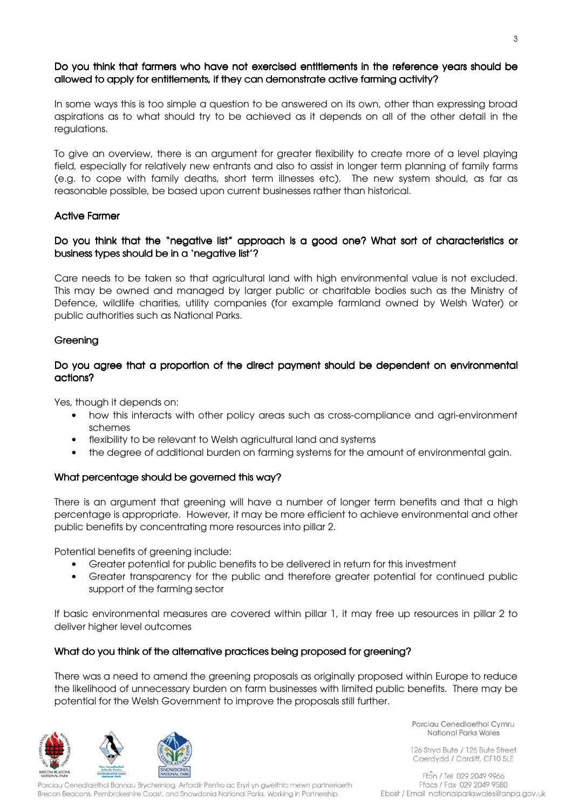# Do you think that farmers who have not exercised entitlements in the reference years should be allowed to apply for entitlements, if they can demonstrate active farming activity?

In some ways this is too simple a question to be answered on its own, other than expressing broad aspirations as to what should try to be achieved as it depends on all of the other detail in the regulations.

To give an overview, there is an argument for greater flexibility to create more of a level playing field, especially for relatively new entrants and also to assist in longer term planning of family farms (e.g. to cope with family deaths, short term illnesses etc). The new system should, as far as reasonable possible, be based upon current businesses rather than historical.

## Active Farmer

# Do you think that the "negative list" approach is a good one? What sort of characteristics or business types should be in a 'negative list'?

Care needs to be taken so that agricultural land with high environmental value is not excluded. This may be owned and managed by larger public or charitable bodies such as the Ministry of Defence, wildlife charities, utility companies (for example farmland owned by Welsh Water) or public authorities such as National Parks.

# **Greening**

# Do you agree that a proportion of the direct payment should be dependent on environmental actions?

Yes, though it depends on:

- how this interacts with other policy areas such as cross-compliance and agri-environment schemes
- flexibility to be relevant to Welsh agricultural land and systems
- the degree of additional burden on farming systems for the amount of environmental gain.

# What percentage should be governed this way?

There is an argument that greening will have a number of longer term benefits and that a high percentage is appropriate. However, it may be more efficient to achieve environmental and other public benefits by concentrating more resources into pillar 2.

Potential benefits of greening include:

- Greater potential for public benefits to be delivered in return for this investment
- Greater transparency for the public and therefore greater potential for continued public support of the farming sector

If basic environmental measures are covered within pillar 1, it may free up resources in pillar 2 to deliver higher level outcomes

# What do you think of the alternative practices being proposed for greening?

There was a need to amend the greening proposals as originally proposed within Europe to reduce the likelihood of unnecessary burden on farm businesses with limited public benefits. There may be potential for the Welsh Government to improve the proposals still further.



Parciau Cenedlaethol Cymru National Parks Wales

126 Stryd Bute / 126 Bute Street Caerdydd / Cardiff, CF10 5LE

Ffon / Tel 029 2049 9966 Parciau Cenedlaethol Bannau Brycheiniog, Arfordir Penfro ac Eryri yn gweithio mewn partneriaeth Ffacs / Fax 029 2049 9580 Brecon Beacons, Pembrokeshire Coast, and Snowdonia National Parks. Working in Partnership. Ebost / Email nationalparkswales@anpa.gov.uk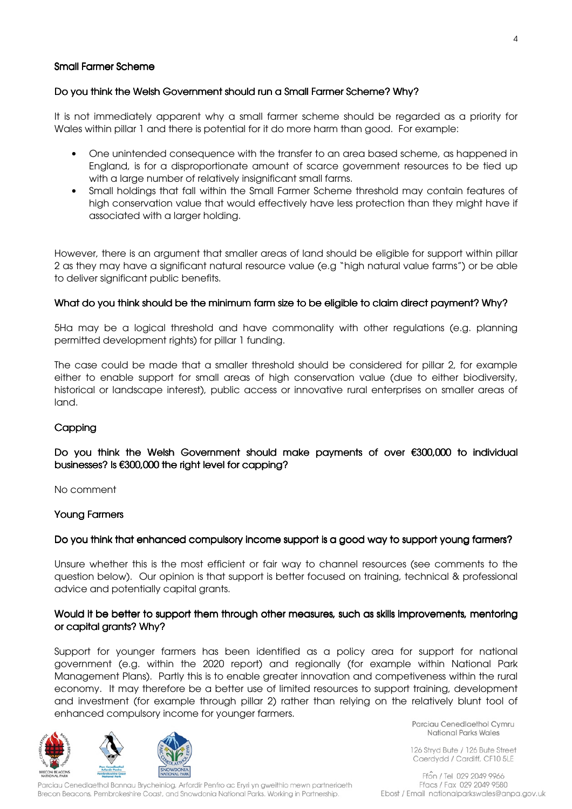## Small Farmer Scheme

## Do you think the Welsh Government should run a Small Farmer Scheme? Why?

It is not immediately apparent why a small farmer scheme should be regarded as a priority for Wales within pillar 1 and there is potential for it do more harm than good. For example:

- One unintended consequence with the transfer to an area based scheme, as happened in England, is for a disproportionate amount of scarce government resources to be tied up with a large number of relatively insignificant small farms.
- Small holdings that fall within the Small Farmer Scheme threshold may contain features of high conservation value that would effectively have less protection than they might have if associated with a larger holding.

However, there is an argument that smaller areas of land should be eligible for support within pillar 2 as they may have a significant natural resource value (e.g "high natural value farms") or be able to deliver significant public benefits.

## What do you think should be the minimum farm size to be eligible to claim direct payment? Why?

5Ha may be a logical threshold and have commonality with other regulations (e.g. planning permitted development rights) for pillar 1 funding.

The case could be made that a smaller threshold should be considered for pillar 2, for example either to enable support for small areas of high conservation value (due to either biodiversity, historical or landscape interest), public access or innovative rural enterprises on smaller areas of land.

# **Capping**

## Do you think the Welsh Government should make payments of over €300,000 to individual businesses? Is €300,000 the right level for capping?

No comment

#### Young Farmers

#### Do you think that enhanced compulsory income support is a good way to support young farmers?

Unsure whether this is the most efficient or fair way to channel resources (see comments to the question below). Our opinion is that support is better focused on training, technical & professional advice and potentially capital grants.

## Would it be better to support them through other measures, such as skills improvements, mentoring or capital grants? Why?

Support for younger farmers has been identified as a policy area for support for national government (e.g. within the 2020 report) and regionally (for example within National Park Management Plans). Partly this is to enable greater innovation and competiveness within the rural economy. It may therefore be a better use of limited resources to support training, development and investment (for example through pillar 2) rather than relying on the relatively blunt tool of enhanced compulsory income for younger farmers.





Parciau Cenedlaethol Bannau Brycheiniog, Arfordir Penfro ac Eryri yn gweithio mewn partneriaeth Brecon Beacons, Pembrokeshire Coast, and Snowdonia National Parks. Working in Partnership.

Parciau Cenedlaethol Cymru National Parks Wales

126 Stryd Bute / 126 Bute Street Caerdydd / Cardiff, CF10 5LE